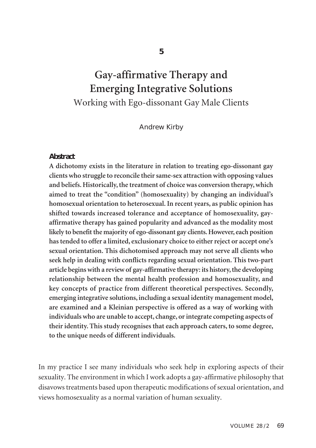**5**

# **Gay-affirmative Therapy and Emerging Integrative Solutions** Working with Ego-dissonant Gay Male Clients

## Andrew Kirby

## **Abstract**

**A dichotomy exists in the literature in relation to treating ego-dissonant gay clients who struggle to reconcile theirsame-sex attraction with opposing values and beliefs.Historically,the treatment of choice was conversion therapy,which aimed to treat the "condition" (homosexuality) by changing an individual's homosexual orientation to heterosexual.In recent years, as public opinion has shifted towards increased tolerance and acceptance of homosexuality, gayaffirmative therapy has gained popularity and advanced as the modality most likely to benefit the majority of ego-dissonant gay clients.However, each position hastended to offer a limited, exclusionary choice to eitherreject or accept one's sexual orientation. This dichotomised approach may not serve all clients who seek help in dealing with conflicts regarding sexual orientation. This two-part article beginswith a reviewof gay-affirmative therapy: its history,the developing relationship between the mental health profession and homosexuality, and key concepts of practice from different theoretical perspectives. Secondly, emerging integrative solutions, including a sexual identity management model, are examined and a Kleinian perspective is offered as a way of working with individuals who are unable to accept, change, orintegrate competing aspects of their identity. This study recognises that each approach caters, to some degree, to the unique needs of different individuals.**

In my practice I see many individuals who seek help in exploring aspects of their sexuality. The environment in which I work adopts a gay-affirmative philosophy that disavows treatments based upon therapeutic modifications of sexual orientation, and views homosexuality as a normal variation of human sexuality.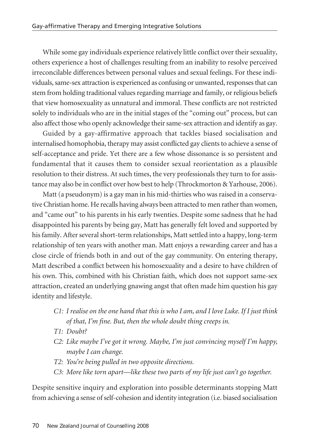While some gay individuals experience relatively little conflict over their sexuality, others experience a host of challenges resulting from an inability to resolve perceived irreconcilable differences between personal values and sexual feelings. For these individuals, same-sex attraction is experienced as confusing or unwanted, responses that can stem from holding traditional values regarding marriage and family, or religious beliefs that view homosexuality as unnatural and immoral. These conflicts are not restricted solely to individuals who are in the initial stages of the "coming out" process, but can also affect those who openly acknowledge their same-sex attraction and identify as gay.

Guided by a gay-affirmative approach that tackles biased socialisation and internalised homophobia, therapy may assist conflicted gay clients to achieve a sense of self-acceptance and pride. Yet there are a few whose dissonance is so persistent and fundamental that it causes them to consider sexual reorientation as a plausible resolution to their distress. At such times, the very professionals they turn to for assistance may also be in conflict over how best to help (Throckmorton & Yarhouse, 2006).

Matt (a pseudonym) is a gay man in his mid-thirties who was raised in a conservative Christian home. He recalls having always been attracted to men rather than women, and "came out" to his parents in his early twenties. Despite some sadness that he had disappointed his parents by being gay, Matt has generally felt loved and supported by his family. After several short-term relationships, Matt settled into a happy, long-term relationship of ten years with another man. Matt enjoys a rewarding career and has a close circle of friends both in and out of the gay community. On entering therapy, Matt described a conflict between his homosexuality and a desire to have children of his own. This, combined with his Christian faith, which does not support same-sex attraction, created an underlying gnawing angst that often made him question his gay identity and lifestyle.

- C1: I realise on the one hand that this is who I am, and I love Luke. If I just think *of that, I'm fine. But, then the whole doubt thing creeps in.*
- *T1: Doubt?*
- *C2: Like maybe I've got it wrong. Maybe, I'm just convincing myself I'm happy, maybe I can change.*
- *T2: You're being pulled in two opposite directions.*
- *C3: More like torn apart—like these two parts of my life just can't go together.*

Despite sensitive inquiry and exploration into possible determinants stopping Matt from achieving a sense of self-cohesion and identity integration (i.e. biased socialisation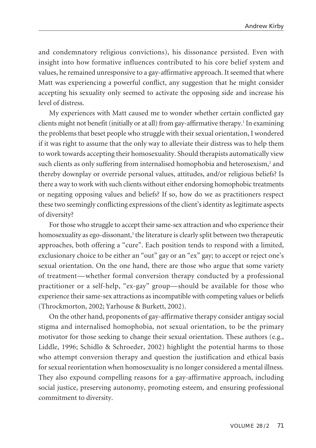and condemnatory religious convictions), his dissonance persisted. Even with insight into how formative influences contributed to his core belief system and values, he remained unresponsive to a gay-affirmative approach. It seemed that where Matt was experiencing a powerful conflict, any suggestion that he might consider accepting his sexuality only seemed to activate the opposing side and increase his level of distress.

My experiences with Matt caused me to wonder whether certain conflicted gay clients might not benefit (initially or at all) from gay-affirmative therapy.<sup>1</sup> In examining the problems that beset people who struggle with their sexual orientation, I wondered if it was right to assume that the only way to alleviate their distress was to help them to work towards accepting their homosexuality. Should therapists automatically view such clients as only suffering from internalised homophobia and heterosexism, <sup>2</sup> and thereby downplay or override personal values, attitudes, and/or religious beliefs? Is there a way to work with such clients without either endorsing homophobic treatments or negating opposing values and beliefs? If so, how do we as practitioners respect these two seemingly conflicting expressions of the client's identity as legitimate aspects of diversity?

For those who struggle to accept their same-sex attraction and who experience their homosexuality as ego-dissonant, <sup>3</sup> the literature is clearly split between two therapeutic approaches, both offering a "cure". Each position tends to respond with a limited, exclusionary choice to be either an "out" gay or an "ex" gay; to accept or reject one's sexual orientation. On the one hand, there are those who argue that some variety of treatment—whether formal conversion therapy conducted by a professional practitioner or a self-help, "ex-gay" group—should be available for those who experience their same-sex attractions as incompatible with competing values or beliefs (Throckmorton, 2002; Yarhouse & Burkett, 2002).

On the other hand, proponents of gay-affirmative therapy consider antigay social stigma and internalised homophobia, not sexual orientation, to be the primary motivator for those seeking to change their sexual orientation. These authors (e.g., Liddle, 1996; Schidlo & Schroeder, 2002) highlight the potential harms to those who attempt conversion therapy and question the justification and ethical basis for sexual reorientation when homosexuality is no longer considered a mental illness. They also expound compelling reasons for a gay-affirmative approach, including social justice, preserving autonomy, promoting esteem, and ensuring professional commitment to diversity.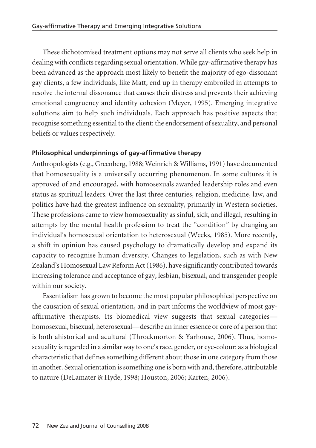These dichotomised treatment options may not serve all clients who seek help in dealing with conflicts regarding sexual orientation. While gay-affirmative therapy has been advanced as the approach most likely to benefit the majority of ego-dissonant gay clients, a few individuals, like Matt, end up in therapy embroiled in attempts to resolve the internal dissonance that causes their distress and prevents their achieving emotional congruency and identity cohesion (Meyer, 1995). Emerging integrative solutions aim to help such individuals. Each approach has positive aspects that recognise something essential to the client: the endorsement of sexuality, and personal beliefs or values respectively.

# **Philosophical underpinnings of gay-affirmative therapy**

Anthropologists(e.g., Greenberg, 1988; Weinrich & Williams, 1991) have documented that homosexuality is a universally occurring phenomenon. In some cultures it is approved of and encouraged, with homosexuals awarded leadership roles and even status as spiritual leaders. Over the last three centuries, religion, medicine, law, and politics have had the greatest influence on sexuality, primarily in Western societies. These professions came to view homosexuality as sinful, sick, and illegal, resulting in attempts by the mental health profession to treat the "condition" by changing an individual's homosexual orientation to heterosexual (Weeks, 1985). More recently, a shift in opinion has caused psychology to dramatically develop and expand its capacity to recognise human diversity. Changes to legislation, such as with New Zealand's Homosexual Law Reform Act(1986), have significantly contributed towards increasing tolerance and acceptance of gay, lesbian, bisexual, and transgender people within our society.

Essentialism has grown to become the most popular philosophical perspective on the causation of sexual orientation, and in part informs the worldview of most gayaffirmative therapists. Its biomedical view suggests that sexual categories homosexual, bisexual, heterosexual—describe an inner essence or core of a person that is both ahistorical and acultural (Throckmorton & Yarhouse, 2006). Thus, homosexuality isregarded in a similar way to one'srace, gender, or eye-colour: as a biological characteristic that defines something different about those in one category from those in another. Sexual orientation issomething one is born with and, therefore, attributable to nature (DeLamater & Hyde, 1998; Houston, 2006; Karten, 2006).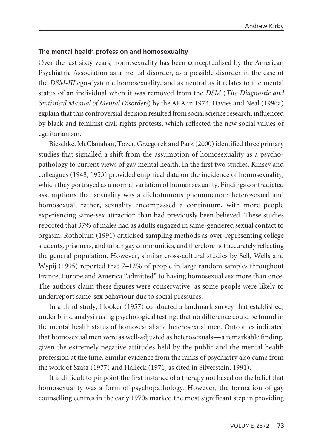#### **The mental health profession and homosexuality**

Over the last sixty years, homosexuality has been conceptualised by the American Psychiatric Association as a mental disorder, as a possible disorder in the case of the *DSM-III* ego-dystonic homosexuality, and as neutral as it relates to the mental status of an individual when it was removed from the *DSM* (*The Diagnostic and Statistical Manual of Mental Disorders*) by the APA in 1973. Davies and Neal (1996a) explain that this controversial decision resulted from socialscience research, influenced by black and feminist civil rights protests, which reflected the new social values of egalitarianism.

Bieschke, McClanahan, Tozer, Grzegorek and Park (2000) identified three primary studies that signalled a shift from the assumption of homosexuality as a psychopathology to current views of gay mental health. In the first two studies, Kinsey and colleagues (1948; 1953) provided empirical data on the incidence of homosexuality, which they portrayed as a normal variation of human sexuality. Findings contradicted assumptions that sexuality was a dichotomous phenomenon: heterosexual and homosexual; rather, sexuality encompassed a continuum, with more people experiencing same-sex attraction than had previously been believed. These studies reported that 37% of males had as adults engaged in same-gendered sexual contact to orgasm. Rothblum (1991) criticised sampling methods as over-representing college students, prisoners, and urban gay communities, and therefore not accurately reflecting the general population. However, similar cross-cultural studies by Sell, Wells and Wypij (1995) reported that 7–12% of people in large random samples throughout France, Europe and America "admitted" to having homosexual sex more than once. The authors claim these figures were conservative, as some people were likely to underreport same-sex behaviour due to social pressures.

In a third study, Hooker (1957) conducted a landmark survey that established, under blind analysis using psychological testing, that no difference could be found in the mental health status of homosexual and heterosexual men. Outcomes indicated that homosexual men were as well-adjusted as heterosexuals—a remarkable finding, given the extremely negative attitudes held by the public and the mental health profession at the time. Similar evidence from the ranks of psychiatry also came from the work of Szasz (1977) and Halleck (1971, as cited in Silverstein, 1991).

It is difficult to pinpoint the first instance of a therapy not based on the belief that homosexuality was a form of psychopathology. However, the formation of gay counselling centres in the early 1970s marked the most significant step in providing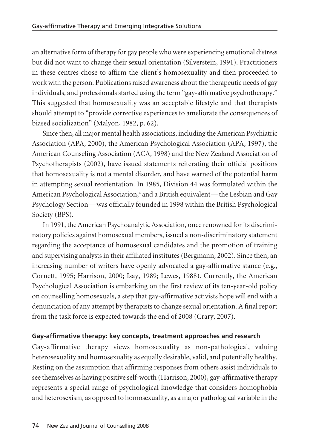an alternative form of therapy for gay people who were experiencing emotional distress but did not want to change their sexual orientation (Silverstein, 1991). Practitioners in these centres chose to affirm the client's homosexuality and then proceeded to work with the person. Publications raised awareness about the therapeutic needs of gay individuals, and professionals started using the term "gay-affirmative psychotherapy." This suggested that homosexuality was an acceptable lifestyle and that therapists should attempt to "provide corrective experiences to ameliorate the consequences of biased socialization" (Malyon, 1982, p. 62).

Since then, all major mental health associations, including the American Psychiatric Association (APA, 2000), the American Psychological Association (APA, 1997), the American Counseling Association (ACA, 1998) and the New Zealand Association of Psychotherapists (2002), have issued statements reiterating their official positions that homosexuality is not a mental disorder, and have warned of the potential harm in attempting sexual reorientation. In 1985, Division 44 was formulated within the American Psychological Association, <sup>4</sup> and a British equivalent—the Lesbian and Gay Psychology Section—was officially founded in 1998 within the British Psychological Society (BPS).

In 1991, the American Psychoanalytic Association, once renowned forits discriminatory policies against homosexual members, issued a non-discriminatory statement regarding the acceptance of homosexual candidates and the promotion of training and supervising analysts in their affiliated institutes(Bergmann, 2002). Since then, an increasing number of writers have openly advocated a gay-affirmative stance (e.g., Cornett, 1995; Harrison, 2000; Isay, 1989; Lewes, 1988). Currently, the American Psychological Association is embarking on the first review of its ten-year-old policy on counselling homosexuals, a step that gay-affirmative activists hope will end with a denunciation of any attempt by therapists to change sexual orientation. A final report from the task force is expected towards the end of 2008 (Crary, 2007).

# **Gay-affirmative therapy: key concepts, treatment approaches and research**

Gay-affirmative therapy views homosexuality as non-pathological, valuing heterosexuality and homosexuality as equally desirable, valid, and potentially healthy. Resting on the assumption that affirming responses from others assist individuals to see themselves as having positive self-worth (Harrison, 2000), gay-affirmative therapy represents a special range of psychological knowledge that considers homophobia and heterosexism, as opposed to homosexuality, as a major pathological variable in the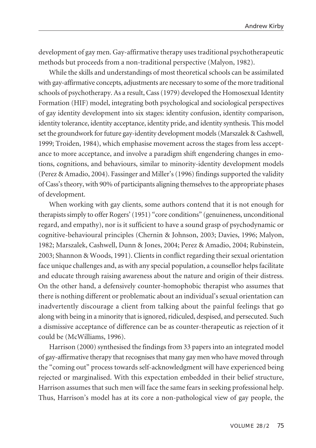development of gay men. Gay-affirmative therapy uses traditional psychotherapeutic methods but proceeds from a non-traditional perspective (Malyon, 1982).

While the skills and understandings of most theoretical schools can be assimilated with gay-affirmative concepts, adjustments are necessary to some of the more traditional schools of psychotherapy. As a result, Cass(1979) developed the Homosexual Identity Formation (HIF) model, integrating both psychological and sociological perspectives of gay identity development into six stages: identity confusion, identity comparison, identity tolerance, identity acceptance, identity pride, and identity synthesis. This model set the groundwork for future gay-identity development models (Marszalek & Cashwell, 1999; Troiden, 1984), which emphasise movement across the stages from less acceptance to more acceptance, and involve a paradigm shift engendering changes in emotions, cognitions, and behaviours, similar to minority-identity development models (Perez & Amadio, 2004). Fassinger and Miller's(1996)findings supported the validity of Cass'stheory, with 90% of participants aligning themselvesto the appropriate phases of development.

When working with gay clients, some authors contend that it is not enough for therapists simply to offer Rogers' (1951) "core conditions" (genuineness, unconditional regard, and empathy), nor is it sufficient to have a sound grasp of psychodynamic or cognitive-behavioural principles (Chernin & Johnson, 2003; Davies, 1996; Malyon, 1982; Marszalek, Cashwell, Dunn & Jones, 2004; Perez & Amadio, 2004; Rubinstein, 2003; Shannon & Woods, 1991). Clients in conflict regarding their sexual orientation face unique challenges and, as with any special population, a counsellor helps facilitate and educate through raising awareness about the nature and origin of their distress. On the other hand, a defensively counter-homophobic therapist who assumes that there is nothing different or problematic about an individual's sexual orientation can inadvertently discourage a client from talking about the painful feelings that go along with being in a minority that is ignored, ridiculed, despised, and persecuted. Such a dismissive acceptance of difference can be as counter-therapeutic as rejection of it could be (McWilliams, 1996).

Harrison (2000) synthesised the findings from 33 papers into an integrated model of gay-affirmative therapy that recognises that many gay men who have moved through the "coming out" process towards self-acknowledgment will have experienced being rejected or marginalised. With this expectation embedded in their belief structure, Harrison assumes that such men will face the same fears in seeking professional help. Thus, Harrison's model has at its core a non-pathological view of gay people, the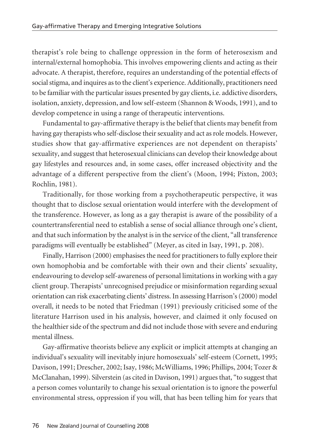therapist's role being to challenge oppression in the form of heterosexism and internal/external homophobia. This involves empowering clients and acting as their advocate. A therapist, therefore, requires an understanding of the potential effects of social stigma, and inquires as to the client's experience. Additionally, practitioners need to be familiar with the particular issues presented by gay clients, *i.e.* addictive disorders, isolation, anxiety, depression, and low self-esteem (Shannon & Woods, 1991), and to develop competence in using a range of therapeutic interventions.

Fundamental to gay-affirmative therapy is the belief that clients may benefit from having gay therapists who self-disclose their sexuality and act as role models. However, studies show that gay-affirmative experiences are not dependent on therapists' sexuality, and suggest that heterosexual clinicians can develop their knowledge about gay lifestyles and resources and, in some cases, offer increased objectivity and the advantage of a different perspective from the client's (Moon, 1994; Pixton, 2003; Rochlin, 1981).

Traditionally, for those working from a psychotherapeutic perspective, it was thought that to disclose sexual orientation would interfere with the development of the transference. However, as long as a gay therapist is aware of the possibility of a countertransferential need to establish a sense of social alliance through one's client, and that such information by the analyst is in the service of the client, "all transference paradigms will eventually be established" (Meyer, as cited in Isay, 1991, p. 208).

Finally, Harrison (2000) emphasises the need for practitioners to fully explore their own homophobia and be comfortable with their own and their clients' sexuality, endeavouring to develop self-awareness of personal limitations in working with a gay client group. Therapists' unrecognised prejudice or misinformation regarding sexual orientation can risk exacerbating clients' distress. In assessing Harrison's(2000) model overall, it needs to be noted that Friedman (1991) previously criticised some of the literature Harrison used in his analysis, however, and claimed it only focused on the healthier side of the spectrum and did not include those with severe and enduring mental illness.

Gay-affirmative theorists believe any explicit or implicit attempts at changing an individual's sexuality will inevitably injure homosexuals' self-esteem (Cornett, 1995; Davison, 1991; Drescher, 2002; Isay, 1986; McWilliams, 1996; Phillips, 2004; Tozer & McClanahan, 1999). Silverstein (as cited in Davison, 1991) argues that, "to suggest that a person comes voluntarily to change his sexual orientation is to ignore the powerful environmental stress, oppression if you will, that has been telling him for years that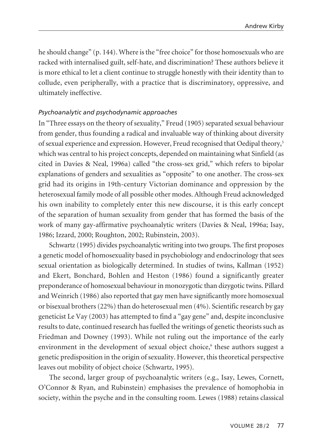he should change" (p. 144). Where is the "free choice" for those homosexuals who are racked with internalised guilt, self-hate, and discrimination? These authors believe it is more ethical to let a client continue to struggle honestly with their identity than to collude, even peripherally, with a practice that is discriminatory, oppressive, and ultimately ineffective.

## *Psychoanalytic and psychodynamic approaches*

In "Three essays on the theory of sexuality," Freud (1905) separated sexual behaviour from gender, thus founding a radical and invaluable way of thinking about diversity of sexual experience and expression. However, Freud recognised that Oedipal theory, 5 which was central to his project concepts, depended on maintaining what Sinfield (as cited in Davies & Neal, 1996a) called "the cross-sex grid," which refers to bipolar explanations of genders and sexualities as "opposite" to one another. The cross-sex grid had its origins in 19th-century Victorian dominance and oppression by the heterosexual family mode of all possible other modes. Although Freud acknowledged his own inability to completely enter this new discourse, it is this early concept of the separation of human sexuality from gender that has formed the basis of the work of many gay-affirmative psychoanalytic writers (Davies & Neal, 1996a; Isay, 1986; Izzard, 2000; Roughton, 2002; Rubinstein, 2003).

Schwartz (1995) divides psychoanalytic writing into two groups. The first proposes a genetic model of homosexuality based in psychobiology and endocrinology that sees sexual orientation as biologically determined. In studies of twins, Kallman (1952) and Ekert, Bonchard, Bohlen and Heston (1986) found a significantly greater preponderance of homosexual behaviourin monozygotic than dizygotic twins. Pillard and Weinrich (1986) also reported that gay men have significantly more homosexual or bisexual brothers (22%) than do heterosexual men (4%). Scientific research by gay geneticist Le Vay (2003) has attempted to find a "gay gene" and, despite inconclusive results to date, continued research has fuelled the writings of genetic theorists such as Friedman and Downey (1993). While not ruling out the importance of the early environment in the development of sexual object choice, <sup>6</sup> these authors suggest a genetic predisposition in the origin of sexuality. However, this theoretical perspective leaves out mobility of object choice (Schwartz, 1995).

The second, larger group of psychoanalytic writers (e.g., Isay, Lewes, Cornett, O'Connor & Ryan, and Rubinstein) emphasises the prevalence of homophobia in society, within the psyche and in the consulting room. Lewes (1988) retains classical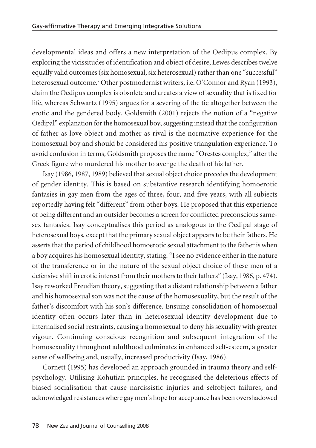developmental ideas and offers a new interpretation of the Oedipus complex. By exploring the vicissitudes of identification and object of desire, Lewes describes twelve equally valid outcomes (six homosexual, six heterosexual) rather than one "successful" heterosexual outcome. <sup>7</sup> Other postmodernist writers, i.e. O'Connor and Ryan (1993), claim the Oedipus complex is obsolete and creates a view of sexuality that is fixed for life, whereas Schwartz (1995) argues for a severing of the tie altogether between the erotic and the gendered body. Goldsmith (2001) rejects the notion of a "negative Oedipal" explanation forthe homosexual boy,suggesting instead that the configuration of father as love object and mother as rival is the normative experience for the homosexual boy and should be considered his positive triangulation experience. To avoid confusion in terms, Goldsmith proposes the name "Orestes complex," afterthe Greek figure who murdered his mother to avenge the death of his father.

Isay (1986, 1987, 1989) believed that sexual object choice precedes the development of gender identity. This is based on substantive research identifying homoerotic fantasies in gay men from the ages of three, four, and five years, with all subjects reportedly having felt "different" from other boys. He proposed that this experience of being different and an outsider becomes a screen for conflicted preconscious samesex fantasies. Isay conceptualises this period as analogous to the Oedipal stage of heterosexual boys, except that the primary sexual object appears to be their fathers. He asserts that the period of childhood homoerotic sexual attachment to the father is when a boy acquires his homosexual identity, stating: "I see no evidence either in the nature of the transference or in the nature of the sexual object choice of these men of a defensive shift in erotic interest from their mothers to their fathers" (Isay, 1986, p. 474). Isay reworked Freudian theory, suggesting that a distant relationship between a father and his homosexual son was not the cause of the homosexuality, but the result of the father's discomfort with his son's difference. Ensuing consolidation of homosexual identity often occurs later than in heterosexual identity development due to internalised social restraints, causing a homosexual to deny his sexuality with greater vigour. Continuing conscious recognition and subsequent integration of the homosexuality throughout adulthood culminates in enhanced self-esteem, a greater sense of wellbeing and, usually, increased productivity (Isay, 1986).

Cornett (1995) has developed an approach grounded in trauma theory and selfpsychology. Utilising Kohutian principles, he recognised the deleterious effects of biased socialisation that cause narcissistic injuries and selfobject failures, and acknowledged resistances where gay men's hope for acceptance has been overshadowed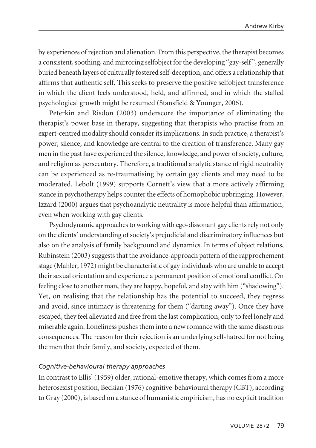by experiences ofrejection and alienation. From this perspective, the therapist becomes a consistent, soothing, and mirroring selfobject for the developing "gay-self", generally buried beneath layers of culturally fostered self-deception, and offers a relationship that affirms that authentic self. This seeks to preserve the positive selfobject transference in which the client feels understood, held, and affirmed, and in which the stalled psychological growth might be resumed (Stansfield & Younger, 2006).

Peterkin and Risdon (2003) underscore the importance of eliminating the therapist's power base in therapy, suggesting that therapists who practise from an expert-centred modality should consider its implications. In such practice, a therapist's power, silence, and knowledge are central to the creation of transference. Many gay men in the past have experienced the silence, knowledge, and power of society, culture, and religion as persecutory. Therefore, a traditional analytic stance of rigid neutrality can be experienced as re-traumatising by certain gay clients and may need to be moderated. Lebolt (1999) supports Cornett's view that a more actively affirming stance in psychotherapy helps counter the effects of homophobic upbringing. However, Izzard (2000) argues that psychoanalytic neutrality is more helpful than affirmation, even when working with gay clients.

Psychodynamic approaches to working with ego-dissonant gay clients rely not only on the clients' understanding ofsociety's prejudicial and discriminatory influences but also on the analysis of family background and dynamics. In terms of object relations, Rubinstein (2003) suggests that the avoidance-approach pattern of the rapprochement stage (Mahler, 1972) might be characteristic of gay individuals who are unable to accept their sexual orientation and experience a permanent position of emotional conflict. On feeling close to another man, they are happy, hopeful, and staywith him ("shadowing"). Yet, on realising that the relationship has the potential to succeed, they regress and avoid, since intimacy is threatening for them ("darting away"). Once they have escaped, they feel alleviated and free from the last complication, only to feel lonely and miserable again. Loneliness pushes them into a new romance with the same disastrous consequences. The reason for their rejection is an underlying self-hatred for not being the men that their family, and society, expected of them.

#### *Cognitive-behavioural therapy approaches*

In contrast to Ellis' (1959) older, rational-emotive therapy, which comes from a more heterosexist position, Beckian (1976) cognitive-behavioural therapy (CBT), according to Gray (2000), is based on a stance of humanistic empiricism, has no explicit tradition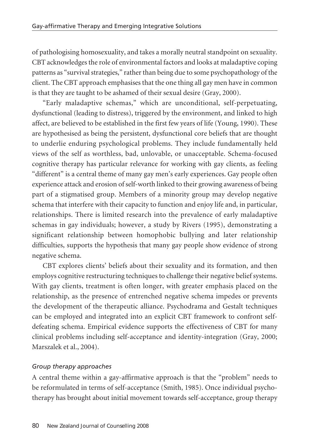of pathologising homosexuality, and takes a morally neutral standpoint on sexuality. CBT acknowledges the role of environmental factors and looks at maladaptive coping patterns as "survival strategies," rather than being due to some psychopathology of the client. The CBT approach emphasises that the one thing all gay men have in common is that they are taught to be ashamed of their sexual desire (Gray, 2000).

"Early maladaptive schemas," which are unconditional, self-perpetuating, dysfunctional (leading to distress), triggered by the environment, and linked to high affect, are believed to be established in the first few years of life (Young, 1990). These are hypothesised as being the persistent, dysfunctional core beliefs that are thought to underlie enduring psychological problems. They include fundamentally held views of the self as worthless, bad, unlovable, or unacceptable. Schema-focused cognitive therapy has particular relevance for working with gay clients, as feeling "different" is a central theme of many gay men's early experiences. Gay people often experience attack and erosion of self-worth linked to their growing awareness of being part of a stigmatised group. Members of a minority group may develop negative schema that interfere with their capacity to function and enjoy life and, in particular, relationships. There is limited research into the prevalence of early maladaptive schemas in gay individuals; however, a study by Rivers (1995), demonstrating a significant relationship between homophobic bullying and later relationship difficulties, supports the hypothesis that many gay people show evidence of strong negative schema.

CBT explores clients' beliefs about their sexuality and its formation, and then employs cognitive restructuring techniques to challenge their negative belief systems. With gay clients, treatment is often longer, with greater emphasis placed on the relationship, as the presence of entrenched negative schema impedes or prevents the development of the therapeutic alliance. Psychodrama and Gestalt techniques can be employed and integrated into an explicit CBT framework to confront selfdefeating schema. Empirical evidence supports the effectiveness of CBT for many clinical problems including self-acceptance and identity-integration (Gray, 2000; Marszalek et al., 2004).

# *Group therapy approaches*

A central theme within a gay-affirmative approach is that the "problem" needs to be reformulated in terms of self-acceptance (Smith, 1985). Once individual psychotherapy has brought about initial movement towards self-acceptance, group therapy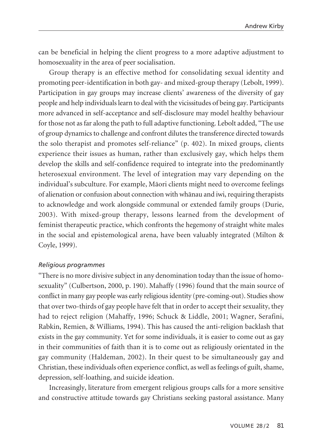can be beneficial in helping the client progress to a more adaptive adjustment to homosexuality in the area of peer socialisation.

Group therapy is an effective method for consolidating sexual identity and promoting peer-identification in both gay- and mixed-group therapy (Lebolt, 1999). Participation in gay groups may increase clients' awareness of the diversity of gay people and help individualslearn to deal with the vicissitudes of being gay. Participants more advanced in self-acceptance and self-disclosure may model healthy behaviour forthose not as far along the path to full adaptive functioning. Lebolt added, "The use of group dynamics to challenge and confront dilutes the transference directed towards the solo therapist and promotes self-reliance" (p. 402). In mixed groups, clients experience their issues as human, rather than exclusively gay, which helps them develop the skills and self-confidence required to integrate into the predominantly heterosexual environment. The level of integration may vary depending on the individual's subculture. For example, Mäori clients might need to overcome feelings of alienation or confusion about connection with whänau and iwi,requiring therapists to acknowledge and work alongside communal or extended family groups (Durie, 2003). With mixed-group therapy, lessons learned from the development of feminist therapeutic practice, which confronts the hegemony of straight white males in the social and epistemological arena, have been valuably integrated (Milton & Coyle, 1999).

#### *Religious programmes*

"There is no more divisive subject in any denomination today than the issue of homosexuality" (Culbertson, 2000, p. 190). Mahaffy (1996) found that the main source of conflict in many gay people was early religiousidentity (pre-coming-out). Studiesshow that over two-thirds of gay people have felt that in order to accept their sexuality, they had to reject religion (Mahaffy, 1996; Schuck & Liddle, 2001; Wagner, Serafini, Rabkin, Remien, & Williams, 1994). This has caused the anti-religion backlash that exists in the gay community. Yet for some individuals, it is easier to come out as gay in their communities of faith than it is to come out as religiously orientated in the gay community (Haldeman, 2002). In their quest to be simultaneously gay and Christian, these individuals often experience conflict, as well as feelings of guilt, shame, depression, self-loathing, and suicide ideation.

Increasingly, literature from emergent religious groups calls for a more sensitive and constructive attitude towards gay Christians seeking pastoral assistance. Many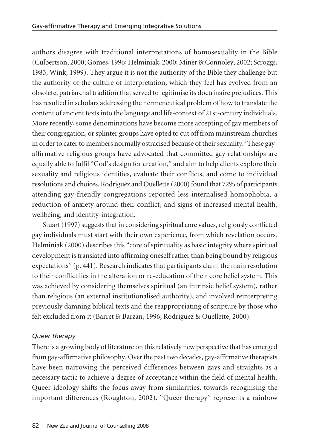authors disagree with traditional interpretations of homosexuality in the Bible (Culbertson, 2000; Gomes, 1996; Helminiak, 2000; Miner & Connoley, 2002; Scroggs, 1983; Wink, 1999). They argue it is not the authority of the Bible they challenge but the authority of the culture of interpretation, which they feel has evolved from an obsolete, patriarchal tradition that served to legitimise its doctrinaire prejudices. This hasresulted in scholars addressing the hermeneutical problem of how to translate the content of ancient texts into the language and life-context of 21st-century individuals. More recently, some denominations have become more accepting of gay members of their congregation, orsplinter groups have opted to cut off from mainstream churches in order to cater to members normally ostracised because of their sexuality.<sup>8</sup> These gayaffirmative religious groups have advocated that committed gay relationships are equally able to fulfil "God's design for creation," and aim to help clients explore their sexuality and religious identities, evaluate their conflicts, and come to individual resolutions and choices. Rodriguez and Ouellette (2000) found that 72% of participants attending gay-friendly congregations reported less internalised homophobia, a reduction of anxiety around their conflict, and signs of increased mental health, wellbeing, and identity-integration.

Stuart (1997) suggests that in considering spiritual core values, religiously conflicted gay individuals must start with their own experience, from which revelation occurs. Helminiak (2000) describes this "core of spirituality as basic integrity where spiritual development is translated into affirming oneself rather than being bound by religious expectations" (p. 441). Research indicates that participants claim the main resolution to their conflict lies in the alteration or re-education of their core belief system. This was achieved by considering themselves spiritual (an intrinsic belief system), rather than religious (an external institutionalised authority), and involved reinterpreting previously damning biblical texts and the reappropriating of scripture by those who felt excluded from it (Barret & Barzan, 1996; Rodriguez & Ouellette, 2000).

# *Queer therapy*

There is a growing body of literature on this relatively new perspective that has emerged from gay-affirmative philosophy. Overthe past two decades, gay-affirmative therapists have been narrowing the perceived differences between gays and straights as a necessary tactic to achieve a degree of acceptance within the field of mental health. Queer ideology shifts the focus away from similarities, towards recognising the important differences (Roughton, 2002). "Queer therapy" represents a rainbow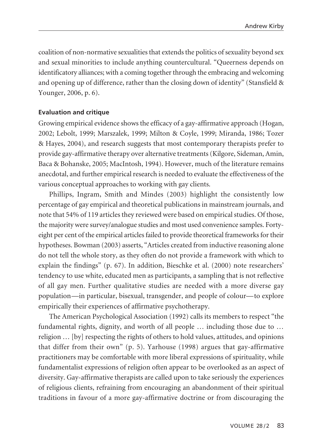coalition of non-normative sexualities that extends the politics of sexuality beyond sex and sexual minorities to include anything countercultural. "Queerness depends on identificatory alliances; with a coming together through the embracing and welcoming and opening up of difference, rather than the closing down of identity" (Stansfield & Younger, 2006, p. 6).

### **Evaluation and critique**

Growing empirical evidence shows the efficacy of a gay-affirmative approach (Hogan, 2002; Lebolt, 1999; Marszalek, 1999; Milton & Coyle, 1999; Miranda, 1986; Tozer & Hayes, 2004), and research suggests that most contemporary therapists prefer to provide gay-affirmative therapy over alternative treatments(Kilgore, Sideman, Amin, Baca & Bohanske, 2005; MacIntosh, 1994). However, much of the literature remains anecdotal, and further empirical research is needed to evaluate the effectiveness of the various conceptual approaches to working with gay clients.

Phillips, Ingram, Smith and Mindes (2003) highlight the consistently low percentage of gay empirical and theoretical publications in mainstream journals, and note that 54% of 119 articles they reviewed were based on empirical studies. Of those, the majority were survey/analogue studies and most used convenience samples. Fortyeight per cent of the empirical articles failed to provide theoretical frameworks for their hypotheses. Bowman (2003) asserts, "Articles created from inductive reasoning alone do not tell the whole story, as they often do not provide a framework with which to explain the findings" (p. 67). In addition, Bieschke et al. (2000) note researchers' tendency to use white, educated men as participants, a sampling that is not reflective of all gay men. Further qualitative studies are needed with a more diverse gay population—in particular, bisexual, transgender, and people of colour—to explore empirically their experiences of affirmative psychotherapy.

The American Psychological Association (1992) calls its members to respect "the fundamental rights, dignity, and worth of all people … including those due to … religion … [by] respecting the rights of others to hold values, attitudes, and opinions that differ from their own" (p. 5). Yarhouse (1998) argues that gay-affirmative practitioners may be comfortable with more liberal expressions of spirituality, while fundamentalist expressions of religion often appear to be overlooked as an aspect of diversity. Gay-affirmative therapists are called upon to take seriously the experiences of religious clients, refraining from encouraging an abandonment of their spiritual traditions in favour of a more gay-affirmative doctrine or from discouraging the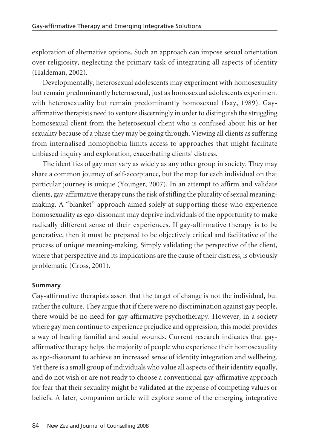exploration of alternative options. Such an approach can impose sexual orientation over religiosity, neglecting the primary task of integrating all aspects of identity (Haldeman, 2002).

Developmentally, heterosexual adolescents may experiment with homosexuality but remain predominantly heterosexual, just as homosexual adolescents experiment with heterosexuality but remain predominantly homosexual (Isay, 1989). Gayaffirmative therapists need to venture discerningly in order to distinguish the struggling homosexual client from the heterosexual client who is confused about his or her sexuality because of a phase they may be going through. Viewing all clients as suffering from internalised homophobia limits access to approaches that might facilitate unbiased inquiry and exploration, exacerbating clients' distress.

The identities of gay men vary as widely as any other group in society. They may share a common journey of self-acceptance, but the map for each individual on that particular journey is unique (Younger, 2007). In an attempt to affirm and validate clients, gay-affirmative therapy runs the risk of stifling the plurality of sexual meaningmaking. A "blanket" approach aimed solely at supporting those who experience homosexuality as ego-dissonant may deprive individuals of the opportunity to make radically different sense of their experiences. If gay-affirmative therapy is to be generative, then it must be prepared to be objectively critical and facilitative of the process of unique meaning-making. Simply validating the perspective of the client, where that perspective and its implications are the cause of their distress, is obviously problematic (Cross, 2001).

# **Summary**

Gay-affirmative therapists assert that the target of change is not the individual, but rather the culture. They argue that if there were no discrimination against gay people, there would be no need for gay-affirmative psychotherapy. However, in a society where gay men continue to experience prejudice and oppression, this model provides a way of healing familial and social wounds. Current research indicates that gayaffirmative therapy helps the majority of people who experience their homosexuality as ego-dissonant to achieve an increased sense of identity integration and wellbeing. Yet there is a small group of individuals who value all aspects of their identity equally, and do not wish or are not ready to choose a conventional gay-affirmative approach for fear that their sexuality might be validated at the expense of competing values or beliefs. A later, companion article will explore some of the emerging integrative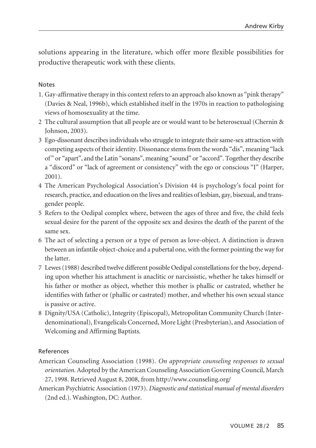solutions appearing in the literature, which offer more flexible possibilities for productive therapeutic work with these clients.

### Notes

- 1. Gay-affirmative therapy in this context refers to an approach also known as "pink therapy" (Davies & Neal, 1996b), which established itself in the 1970s in reaction to pathologising views of homosexuality at the time.
- 2 The cultural assumption that all people are or would want to be heterosexual (Chernin & Johnson, 2003).
- 3 Ego-dissonant describes individuals who struggle to integrate their same-sex attraction with competing aspects of theiridentity. Dissonance stemsfrom the words "dis", meaning "lack of" or "apart", and the Latin "sonans", meaning "sound" or "accord". Together they describe a "discord" or "lack of agreement or consistency" with the ego or conscious "I" (Harper, 2001).
- 4 The American Psychological Association's Division 44 is psychology's focal point for research, practice, and education on the lives and realities of lesbian, gay, bisexual, and transgender people.
- 5 Refers to the Oedipal complex where, between the ages of three and five, the child feels sexual desire for the parent of the opposite sex and desires the death of the parent of the same sex.
- 6 The act of selecting a person or a type of person as love-object. A distinction is drawn between an infantile object-choice and a pubertal one, with the former pointing the way for the latter.
- 7 Lewes(1988) described twelve different possible Oedipal constellationsforthe boy, depending upon whether his attachment is anaclitic or narcissistic, whether he takes himself or his father or mother as object, whether this mother is phallic or castrated, whether he identifies with father or (phallic or castrated) mother, and whether his own sexual stance is passive or active.
- 8 Dignity/USA (Catholic), Integrity (Episcopal), Metropolitan Community Church (Interdenominational), Evangelicals Concerned, More Light (Presbyterian), and Association of Welcoming and Affirming Baptists.

#### References

- American Counseling Association (1998). *On appropriate counseling responses to sexual orientation.* Adopted by the American Counseling Association Governing Council, March 27, 1998. Retrieved August 8, 2008, from http://www.counseling.org/
- American Psychiatric Association (1973). *Diagnostic and statistical manual of mental disorders* (2nd ed.). Washington, DC: Author.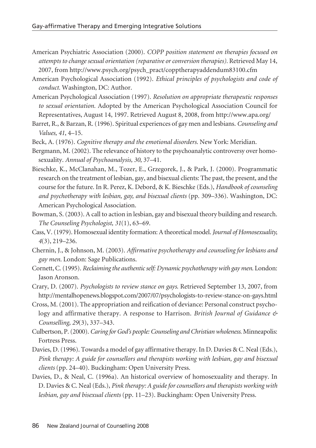- American Psychiatric Association (2000). *COPP position statement on therapies focused on attempts to changesexual orientation (reparative or conversion therapies).* Retrieved May 14, 2007, from http://www.psych.org/psych\_pract/copptherapyaddendum83100.cfm
- American Psychological Association (1992). *Ethical principles of psychologists and code of conduct.* Washington, DC: Author.
- American Psychological Association (1997). *Resolution on appropriate therapeutic responses to sexual orientation.* Adopted by the American Psychological Association Council for Representatives, August 14, 1997. Retrieved August 8, 2008, from http://www.apa.org/
- Barret, R., & Barzan, R.(1996). Spiritual experiences of gay men and lesbians. *Counseling and Values, 41*, 4–15.
- Beck, A. (1976). *Cognitive therapy and the emotional disorders*. New York: Meridian.
- Bergmann, M.(2002). The relevance of history to the psychoanalytic controversy over homosexuality. *Annual of Psychoanalysis, 30*, 37–41.
- Bieschke, K., McClanahan, M., Tozer, E., Grzegorek, J., & Park, J. (2000). Programmatic research on the treatment of lesbian, gay, and bisexual clients: The past, the present, and the course for the future. In R. Perez, K. Debord, & K. Bieschke (Eds.), *Handbook of counseling and psychotherapy with lesbian, gay, and bisexual clients* (pp. 309–336). Washington, DC: American Psychological Association.
- Bowman, S.(2003). A call to action in lesbian, gay and bisexual theory building and research. *The Counseling Psychologist, 31*(1), 63–69.
- Cass,V.(1979). Homosexual identity formation: A theoretical model. *Journal of Homosexuality, 4*(3), 219–236.
- Chernin, J., & Johnson, M. (2003). *Affirmative psychotherapy and counseling for lesbians and gay men*. London: Sage Publications.
- Cornett, C.(1995). *Reclaiming the authenticself: Dynamic psychotherapy with gay men*. London: Jason Aronson.
- Crary, D. (2007). *Psychologists to review stance on gays*. Retrieved September 13, 2007, from http://mentalhopenews.blogspot.com/2007/07/psychologists-to-review-stance-on-gays.html
- Cross, M.(2001). The appropriation and reification of deviance: Personal construct psychology and affirmative therapy. A response to Harrison. *British Journal of Guidance & Counselling, 29*(3), 337–343.
- Culbertson, P.(2000). *Caring forGod's people: Counseling and Christian wholeness*. Minneapolis: Fortress Press.
- Davies, D. (1996). Towards a model of gay affirmative therapy. In D. Davies & C. Neal (Eds.), *Pink therapy: A guide for counsellors and therapists working with lesbian, gay and bisexual clients* (pp. 24–40). Buckingham: Open University Press.
- Davies, D., & Neal, C. (1996a). An historical overview of homosexuality and therapy. In D. Davies & C. Neal(Eds.), *Pink therapy: A guidefor counsellors and therapists working with lesbian, gay and bisexual clients* (pp. 11–23). Buckingham: Open University Press.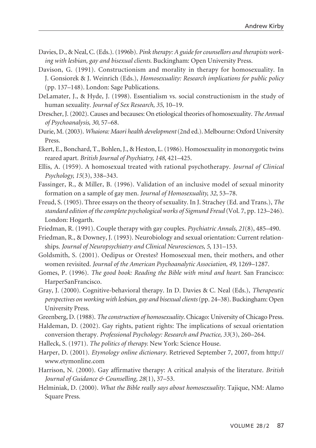- Davies, D., & Neal, C.(Eds.).(1996b). *Pink therapy: A guideforcounsellors and therapists working with lesbian, gay and bisexual clients*. Buckingham: Open University Press.
- Davison, G. (1991). Constructionism and morality in therapy for homosexuality. In J. Gonsiorek & J. Weinrich (Eds.), *Homosexuality: Research implications for public policy* (pp. 137–148). London: Sage Publications.
- DeLamater, J., & Hyde, J. (1998). Essentialism vs. social constructionism in the study of human sexuality. *Journal of Sex Research, 35*, 10–19.
- Drescher, J. (2002). Causes and becauses: On etiological theories of homosexuality. *The Annual of Psychoanalysis, 30*, 57–68.
- Durie, M.(2003). *Whaiora: Maori health development*(2nd ed.). Melbourne: Oxford University Press.
- Ekert, E., Bonchard, T., Bohlen, J., & Heston, L.(1986). Homosexuality in monozygotic twins reared apart. *British Journal of Psychiatry, 148*, 421–425.
- Ellis, A. (1959). A homosexual treated with rational psychotherapy. *Journal of Clinical Psychology, 15*(3), 338–343.
- Fassinger, R., & Miller, B. (1996). Validation of an inclusive model of sexual minority formation on a sample of gay men. *Journal of Homosexuality, 32*, 53–78.
- Freud, S. (1905). Three essays on the theory of sexuality. In J. Strachey (Ed. and Trans.), *The standard edition of thecomplete psychological works of Sigmund Freud* (Vol. 7, pp. 123–246). London: Hogarth.
- Friedman, R. (1991). Couple therapy with gay couples. *Psychiatric Annals, 21*(8), 485–490.
- Friedman, R., & Downey, J. (1993). Neurobiology and sexual orientation: Current relationships. *Journal of Neuropsychiatry and Clinical Neurosciences, 5*, 131–153.
- Goldsmith, S. (2001). Oedipus or Orestes? Homosexual men, their mothers, and other women revisited. *Journal of the American Psychoanalytic Association, 49*, 1269–1287.
- Gomes, P. (1996). *The good book: Reading the Bible with mind and heart*. San Francisco: HarperSanFrancisco.
- Gray, J. (2000). Cognitive-behavioral therapy. In D. Davies & C. Neal (Eds.), *Therapeutic perspectives on working with lesbian, gay and bisexualclients*(pp. 24–38). Buckingham: Open University Press.
- Greenberg, D. (1988). *The construction of homosexuality*. Chicago: University of Chicago Press.
- Haldeman, D. (2002). Gay rights, patient rights: The implications of sexual orientation conversion therapy. *Professional Psychology: Research and Practice, 33*(3), 260–264.
- Halleck, S. (1971). *The politics of therapy.* New York: Science House.
- Harper, D. (2001). *Etymology online dictionary*. Retrieved September 7, 2007, from http:// www.etymonline.com
- Harrison, N. (2000). Gay affirmative therapy: A critical analysis of the literature. *British Journal of Guidance & Counselling, 28*(1), 37–53.
- Helminiak, D. (2000). *What the Bible really says about homosexuality*. Tajique, NM: Alamo Square Press.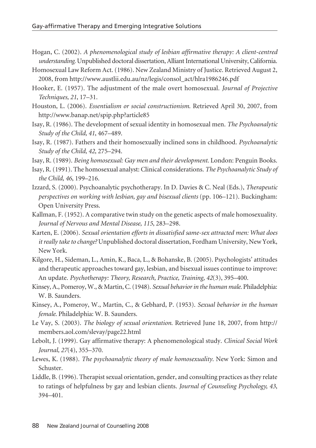- Hogan, C. (2002). *A phenomenological study of lesbian affirmative therapy: A client-centred understanding*. Unpublished doctoral dissertation, Alliant International University, California.
- Homosexual Law Reform Act. (1986). New Zealand Ministry of Justice. Retrieved August 2, 2008, from http://www.austlii.edu.au/nz/legis/consol\_act/hlra1986246.pdf
- Hooker, E. (1957). The adjustment of the male overt homosexual. *Journal of Projective Techniques, 21*, 17–31.
- Houston, L. (2006). *Essentialism or social constructionism*. Retrieved April 30, 2007, from http://www.banap.net/spip.php?article85
- Isay, R. (1986). The development of sexual identity in homosexual men. *The Psychoanalytic Study of the Child, 41*, 467–489.
- Isay, R. (1987). Fathers and their homosexually inclined sons in childhood. *Psychoanalytic Study of the Child, 42*, 275–294.
- Isay, R. (1989). *Being homosexual: Gay men and their development*. London: Penguin Books.
- Isay, R.(1991). The homosexual analyst: Clinical considerations. *The Psychoanalytic Study of the Child, 46*, 199–216.
- Izzard, S. (2000). Psychoanalytic psychotherapy. In D. Davies & C. Neal (Eds.), *Therapeutic perspectives on working with lesbian, gay and bisexual clients* (pp. 106–121). Buckingham: Open University Press.
- Kallman, F. (1952). A comparative twin study on the genetic aspects of male homosexuality. *Journal of Nervous and Mental Disease, 115*, 283–298.
- Karten, E. (2006). *Sexual orientation efforts in dissatisfied same-sex attracted men: What does it* really *take to change?* Unpublished doctoral dissertation, Fordham University, New York, New York.
- Kilgore, H., Sideman, L., Amin, K., Baca, L., & Bohanske, B. (2005). Psychologists' attitudes and therapeutic approaches toward gay, lesbian, and bisexual issues continue to improve: An update. *Psychotherapy: Theory, Research, Practice, Training, 42*(3), 395–400.
- Kinsey, A., Pomeroy, W., & Martin, C.(1948). *Sexual behaviorin the human male.* Philadelphia: W. B. Saunders.
- Kinsey, A., Pomeroy, W., Martin, C., & Gebhard, P. (1953). *Sexual behavior in the human female*. Philadelphia: W. B. Saunders.
- Le Vay, S. (2003). *The biology of sexual orientation*. Retrieved June 18, 2007, from http:// members.aol.com/slevay/page22.html
- Lebolt, J. (1999). Gay affirmative therapy: A phenomenological study. *Clinical Social Work Journal, 27*(4), 355–370.
- Lewes, K. (1988). *The psychoanalytic theory of male homosexuality*. New York: Simon and Schuster.
- Liddle, B.(1996). Therapist sexual orientation, gender, and consulting practices as they relate to ratings of helpfulness by gay and lesbian clients. *Journal of Counseling Psychology, 43*, 394–401.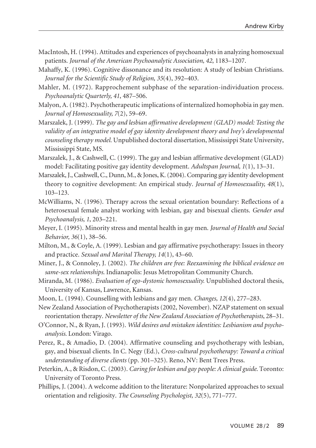- MacIntosh, H.(1994). Attitudes and experiences of psychoanalysts in analyzing homosexual patients. *Journal of the American Psychoanalytic Association, 42*, 1183–1207.
- Mahaffy, K. (1996). Cognitive dissonance and its resolution: A study of lesbian Christians. *Journal for the Scientific Study of Religion, 35*(4), 392–403.
- Mahler, M. (1972). Rapprochement subphase of the separation-individuation process. *Psychoanalytic Quarterly, 41*, 487–506.
- Malyon, A.(1982). Psychotherapeutic implications of internalized homophobia in gay men. *Journal of Homosexuality, 7*(2), 59–69.
- Marszalek, J. (1999). *The gay and lesbian affirmative development (GLAD) model: Testing the validity of an integrative model of gay identity development theory and Ivey's developmental counseling therapy model.* Unpublished doctoral dissertation, Mississippi State University, Mississippi State, MS.
- Marszalek, J., & Cashwell, C. (1999). The gay and lesbian affirmative development (GLAD) model: Facilitating positive gay identity development. *Adultspan Journal, 1*(1), 13–31.
- Marszalek, J., Cashwell, C., Dunn, M., & Jones, K.(2004). Comparing gay identity development theory to cognitive development: An empirical study. *Journal of Homosexuality, 48*(1), 103–123.
- McWilliams, N. (1996). Therapy across the sexual orientation boundary: Reflections of a heterosexual female analyst working with lesbian, gay and bisexual clients. *Gender and Psychoanalysis, 1*, 203–221.
- Meyer, I. (1995). Minority stress and mental health in gay men. *Journal of Health and Social Behavior, 36*(1), 38–56.
- Milton, M., & Coyle, A. (1999). Lesbian and gay affirmative psychotherapy: Issues in theory and practice. *Sexual and Marital Therapy, 14*(1), 43–60.
- Miner, J., & Connoley, J. (2002). *The children are free: Reexamining the biblical evidence on same-sex relationships*. Indianapolis: Jesus Metropolitan Community Church.
- Miranda, M. (1986). *Evaluation of ego-dystonic homosexuality.* Unpublished doctoral thesis, University of Kansas, Lawrence, Kansas.
- Moon, L. (1994). Counselling with lesbians and gay men. *Changes, 12*(4), 277–283.
- New Zealand Association of Psychotherapists (2002, November). NZAP statement on sexual reorientation therapy. *Newsletter of the New Zealand Association of Psychotherapists*, 28–31.
- O'Connor, N., & Ryan, J. (1993). *Wild desires and mistaken identities: Lesbianism and psychoanalysis*. London: Virago.
- Perez, R., & Amadio, D. (2004). Affirmative counseling and psychotherapy with lesbian, gay, and bisexual clients. In C. Negy (Ed.), *Cross-cultural psychotherapy: Toward a critical understanding of diverse clients* (pp. 301–325). Reno, NV: Bent Trees Press.
- Peterkin, A., & Risdon, C.(2003). *Caring for lesbian and gay people: A clinical guide*. Toronto: University of Toronto Press.
- Phillips, J. (2004). A welcome addition to the literature: Nonpolarized approaches to sexual orientation and religiosity. *The Counseling Psychologist, 32*(5), 771–777.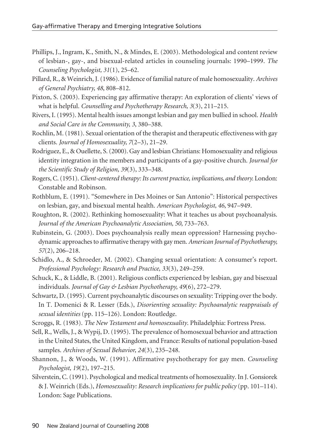- Phillips, J., Ingram, K., Smith, N., & Mindes, E. (2003). Methodological and content review of lesbian-, gay-, and bisexual-related articles in counseling journals: 1990–1999. *The Counseling Psychologist, 31*(1), 25–62.
- Pillard, R., & Weinrich, J.(1986). Evidence of familial nature of male homosexuality. *Archives of General Psychiatry, 48*, 808–812.
- Pixton, S. (2003). Experiencing gay affirmative therapy: An exploration of clients' views of what is helpful. *Counselling and Psychotherapy Research, 3*(3), 211–215.
- Rivers, I.(1995). Mental health issues amongst lesbian and gay men bullied in school. *Health and Social Care in the Community, 3*, 380–388.
- Rochlin, M.(1981). Sexual orientation of the therapist and therapeutic effectiveness with gay clients. *Journal of Homosexuality, 7*(2–3), 21–29.
- Rodriguez, E., & Ouellette, S.(2000). Gay and lesbian Christians: Homosexuality and religious identity integration in the members and participants of a gay-positive church. *Journal for the Scientific Study of Religion, 39*(3), 333–348.
- Rogers, C.(1951). *Client-centered therapy: Itscurrent practice, implications, and theory.* London: Constable and Robinson.
- Rothblum, E. (1991). "Somewhere in Des Moines or San Antonio": Historical perspectives on lesbian, gay, and bisexual mental health. *American Psychologist, 46*, 947–949.
- Roughton, R. (2002). Rethinking homosexuality: What it teaches us about psychoanalysis. *Journal of the American Psychoanalytic Association, 50*, 733–763.
- Rubinstein, G. (2003). Does psychoanalysis really mean oppression? Harnessing psychodynamic approachesto affirmative therapywith gay men. *American Journal of Psychotherapy, 57*(2), 206–218.
- Schidlo, A., & Schroeder, M. (2002). Changing sexual orientation: A consumer's report. *Professional Psychology: Research and Practice, 33*(3), 249–259.
- Schuck, K., & Liddle, B. (2001). Religious conflicts experienced by lesbian, gay and bisexual individuals. *Journal of Gay & Lesbian Psychotherapy, 49*(6), 272–279.
- Schwartz, D.(1995). Current psychoanalytic discourses on sexuality: Tripping overthe body. In T. Domenici & R. Lesser (Eds.), *Disorienting sexuality: Psychoanalytic reappraisals of sexual identities* (pp. 115–126). London: Routledge.
- Scroggs, R. (1983). *The New Testament and homosexuality*. Philadelphia: Fortress Press.
- Sell, R., Wells, J., & Wypij, D.(1995). The prevalence of homosexual behavior and attraction in the United States, the United Kingdom, and France: Results of national population-based samples. *Archives of Sexual Behavior, 24*(3), 235–248.
- Shannon, J., & Woods, W. (1991). Affirmative psychotherapy for gay men. *Counseling Psychologist, 19*(2), 197–215.
- Silverstein, C.(1991). Psychological and medical treatments of homosexuality. In J. Gonsiorek & J. Weinrich (Eds.), *Homosexuality: Research implications for public policy* (pp. 101–114). London: Sage Publications.